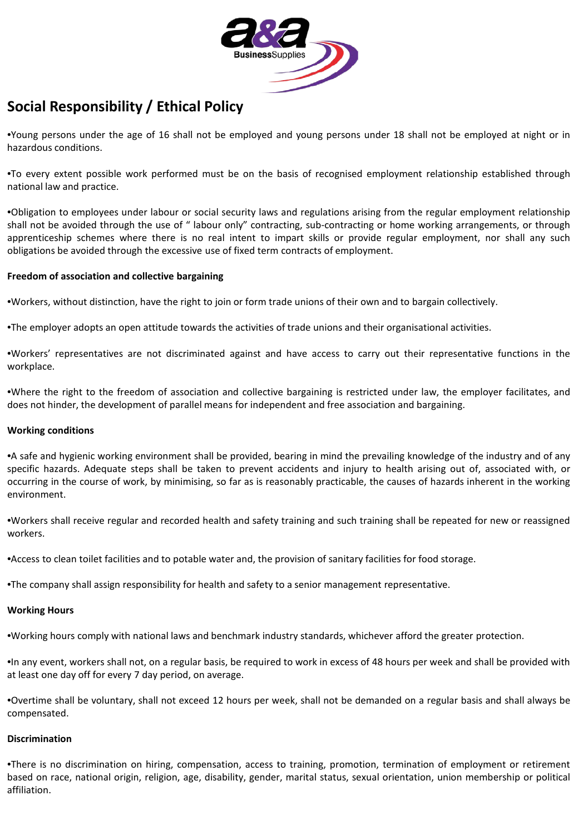

# **Social Responsibility / Ethical Policy**

•Young persons under the age of 16 shall not be employed and young persons under 18 shall not be employed at night or in hazardous conditions.

•To every extent possible work performed must be on the basis of recognised employment relationship established through national law and practice.

•Obligation to employees under labour or social security laws and regulations arising from the regular employment relationship shall not be avoided through the use of " labour only" contracting, sub-contracting or home working arrangements, or through apprenticeship schemes where there is no real intent to impart skills or provide regular employment, nor shall any such obligations be avoided through the excessive use of fixed term contracts of employment.

# **Freedom of association and collective bargaining**

•Workers, without distinction, have the right to join or form trade unions of their own and to bargain collectively.

•The employer adopts an open attitude towards the activities of trade unions and their organisational activities.

•Workers' representatives are not discriminated against and have access to carry out their representative functions in the workplace.

•Where the right to the freedom of association and collective bargaining is restricted under law, the employer facilitates, and does not hinder, the development of parallel means for independent and free association and bargaining.

#### **Working conditions**

•A safe and hygienic working environment shall be provided, bearing in mind the prevailing knowledge of the industry and of any specific hazards. Adequate steps shall be taken to prevent accidents and injury to health arising out of, associated with, or occurring in the course of work, by minimising, so far as is reasonably practicable, the causes of hazards inherent in the working environment.

•Workers shall receive regular and recorded health and safety training and such training shall be repeated for new or reassigned workers.

•Access to clean toilet facilities and to potable water and, the provision of sanitary facilities for food storage.

•The company shall assign responsibility for health and safety to a senior management representative.

#### **Working Hours**

•Working hours comply with national laws and benchmark industry standards, whichever afford the greater protection.

•In any event, workers shall not, on a regular basis, be required to work in excess of 48 hours per week and shall be provided with at least one day off for every 7 day period, on average.

•Overtime shall be voluntary, shall not exceed 12 hours per week, shall not be demanded on a regular basis and shall always be compensated.

#### **Discrimination**

•There is no discrimination on hiring, compensation, access to training, promotion, termination of employment or retirement based on race, national origin, religion, age, disability, gender, marital status, sexual orientation, union membership or political affiliation.